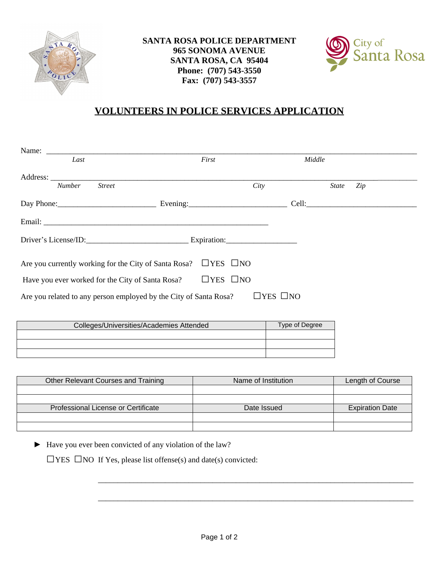



## **VOLUNTEERS IN POLICE SERVICES APPLICATION**

| Last                                                              | First                |                      | Middle              |  |
|-------------------------------------------------------------------|----------------------|----------------------|---------------------|--|
|                                                                   |                      |                      |                     |  |
| <b>Street</b><br><b>Number</b>                                    |                      | City                 | Zip<br><b>State</b> |  |
| Day Phone: Evening: Evening:                                      |                      |                      |                     |  |
|                                                                   |                      |                      |                     |  |
| Driver's License/ID: Expiration:                                  |                      |                      |                     |  |
| Are you currently working for the City of Santa Rosa?             | $\Box$ YES $\Box$ NO |                      |                     |  |
| Have you ever worked for the City of Santa Rosa?                  | $\Box$ YES $\Box$ NO |                      |                     |  |
| Are you related to any person employed by the City of Santa Rosa? |                      | $\Box$ YES $\Box$ NO |                     |  |
|                                                                   |                      |                      |                     |  |

| Colleges/Universities/Academies Attended | Type of Degree |  |
|------------------------------------------|----------------|--|
|                                          |                |  |
|                                          |                |  |
|                                          |                |  |

| Other Relevant Courses and Training | Name of Institution | Length of Course       |
|-------------------------------------|---------------------|------------------------|
|                                     |                     |                        |
|                                     |                     |                        |
| Professional License or Certificate | Date Issued         | <b>Expiration Date</b> |
|                                     |                     |                        |
|                                     |                     |                        |

► Have you ever been convicted of any violation of the law?

 $\square$  YES  $\square$  NO If Yes, please list offense(s) and date(s) convicted:

\_\_\_\_\_\_\_\_\_\_\_\_\_\_\_\_\_\_\_\_\_\_\_\_\_\_\_\_\_\_\_\_\_\_\_\_\_\_\_\_\_\_\_\_\_\_\_\_\_\_\_\_\_\_\_\_\_\_\_\_\_\_\_\_\_\_\_\_\_\_\_\_\_\_\_\_\_\_\_\_

\_\_\_\_\_\_\_\_\_\_\_\_\_\_\_\_\_\_\_\_\_\_\_\_\_\_\_\_\_\_\_\_\_\_\_\_\_\_\_\_\_\_\_\_\_\_\_\_\_\_\_\_\_\_\_\_\_\_\_\_\_\_\_\_\_\_\_\_\_\_\_\_\_\_\_\_\_\_\_\_